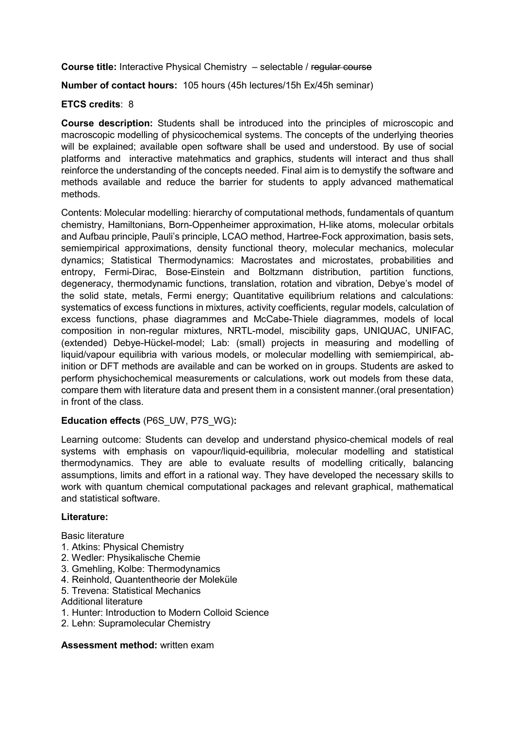Course title: Interactive Physical Chemistry – selectable / regular course

Number of contact hours: 105 hours (45h lectures/15h Ex/45h seminar)

## ETCS credits: 8

Course description: Students shall be introduced into the principles of microscopic and macroscopic modelling of physicochemical systems. The concepts of the underlying theories will be explained; available open software shall be used and understood. By use of social platforms and interactive matehmatics and graphics, students will interact and thus shall reinforce the understanding of the concepts needed. Final aim is to demystify the software and methods available and reduce the barrier for students to apply advanced mathematical methods.

Contents: Molecular modelling: hierarchy of computational methods, fundamentals of quantum chemistry, Hamiltonians, Born-Oppenheimer approximation, H-like atoms, molecular orbitals and Aufbau principle, Pauli's principle, LCAO method, Hartree-Fock approximation, basis sets, semiempirical approximations, density functional theory, molecular mechanics, molecular dynamics; Statistical Thermodynamics: Macrostates and microstates, probabilities and entropy, Fermi-Dirac, Bose-Einstein and Boltzmann distribution, partition functions, degeneracy, thermodynamic functions, translation, rotation and vibration, Debye's model of the solid state, metals, Fermi energy; Quantitative equilibrium relations and calculations: systematics of excess functions in mixtures, activity coefficients, regular models, calculation of excess functions, phase diagrammes and McCabe-Thiele diagrammes, models of local composition in non-regular mixtures, NRTL-model, miscibility gaps, UNIQUAC, UNIFAC, (extended) Debye-Hückel-model; Lab: (small) projects in measuring and modelling of liquid/vapour equilibria with various models, or molecular modelling with semiempirical, abinition or DFT methods are available and can be worked on in groups. Students are asked to perform physichochemical measurements or calculations, work out models from these data, compare them with literature data and present them in a consistent manner.(oral presentation) in front of the class.

### Education effects (P6S\_UW, P7S\_WG):

Learning outcome: Students can develop and understand physico-chemical models of real systems with emphasis on vapour/liquid-equilibria, molecular modelling and statistical thermodynamics. They are able to evaluate results of modelling critically, balancing assumptions, limits and effort in a rational way. They have developed the necessary skills to work with quantum chemical computational packages and relevant graphical, mathematical and statistical software.

### Literature:

Basic literature

- 1. Atkins: Physical Chemistry
- 2. Wedler: Physikalische Chemie
- 3. Gmehling, Kolbe: Thermodynamics
- 4. Reinhold, Quantentheorie der Moleküle
- 5. Trevena: Statistical Mechanics
- Additional literature
- 1. Hunter: Introduction to Modern Colloid Science
- 2. Lehn: Supramolecular Chemistry

### Assessment method: written exam